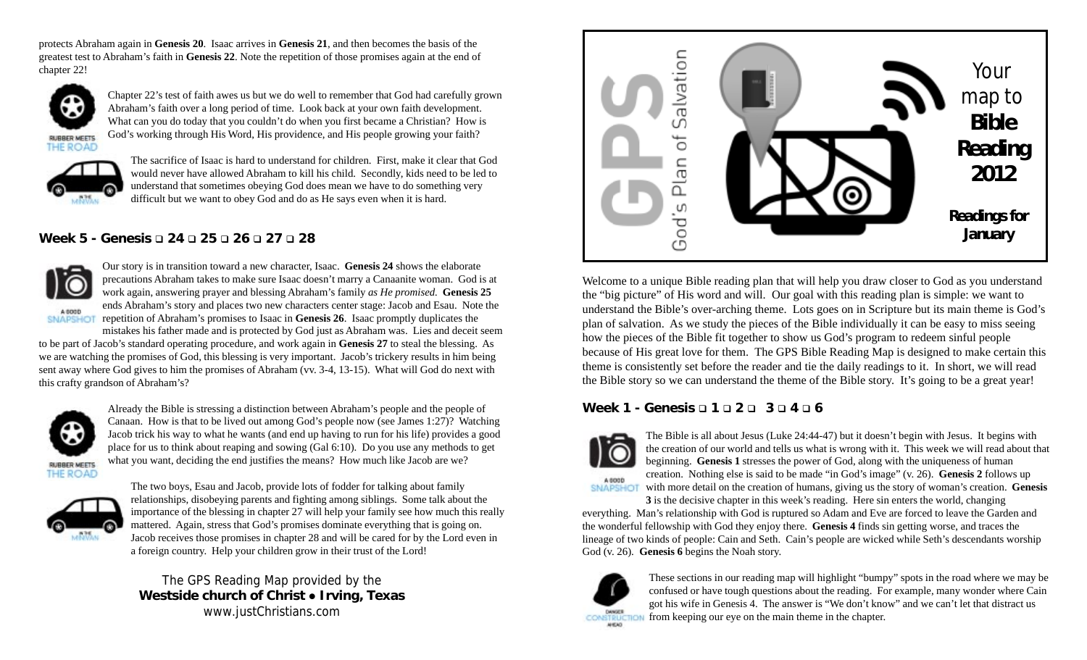protects Abraham again in **Genesis 20**. Isaac arrives in **Genesis 21**, and then becomes the basis of the greatest test to Abraham's faith in **Genesis 22**. Note the repetition of those promises again at the end of chapter 22!



Chapter 22's test of faith awes us but we do well to remember that God had carefully grown Abraham's faith over a long period of time. Look back at your own faith development. What can you do today that you couldn't do when you first became a Christian? How is God's working through His Word, His providence, and His people growing your faith?

**RUBBER MEETS** THE ROAD



The sacrifice of Isaac is hard to understand for children. First, make it clear that God would never have allowed Abraham to kill his child. Secondly, kids need to be led to understand that sometimes obeying God does mean we have to do something very difficult but we want to obey God and do as He says even when it is hard.

# **Week 5 - Genesis 24 25 26 27 28**



Our story is in transition toward a new character, Isaac. **Genesis 24** shows the elaborate precautions Abraham takes to make sure Isaac doesn't marry a Canaanite woman. God is at work again, answering prayer and blessing Abraham's family *as He promised.* **Genesis 25** ends Abraham's story and places two new characters center stage: Jacob and Esau. Note the **ENAPSHOLE TO I** repetition of Abraham's promises to Isaac in **Genesis 26**. Isaac promptly duplicates the

mistakes his father made and is protected by God just as Abraham was. Lies and deceit seem to be part of Jacob's standard operating procedure, and work again in **Genesis 27** to steal the blessing. As we are watching the promises of God, this blessing is very important. Jacob's trickery results in him being sent away where God gives to him the promises of Abraham (vv. 3-4, 13-15). What will God do next with this crafty grandson of Abraham's?



THE ROAD

Already the Bible is stressing a distinction between Abraham's people and the people of Canaan. How is that to be lived out among God's people now (see James 1:27)? Watching Jacob trick his way to what he wants (and end up having to run for his life) provides a good place for us to think about reaping and sowing (Gal 6:10). Do you use any methods to get what you want, deciding the end justifies the means? How much like Jacob are we?



The two boys, Esau and Jacob, provide lots of fodder for talking about family relationships, disobeying parents and fighting among siblings. Some talk about the importance of the blessing in chapter 27 will help your family see how much this really mattered. Again, stress that God's promises dominate everything that is going on. Jacob receives those promises in chapter 28 and will be cared for by the Lord even in a foreign country. Help your children grow in their trust of the Lord!

## The GPS Reading Map provided by the **Westside church of Christ • Irving, Texas** www.justChristians.com



Welcome to a unique Bible reading plan that will help you draw closer to God as you understand the "big picture" of His word and will. Our goal with this reading plan is simple: we want to understand the Bible's over-arching theme. Lots goes on in Scripture but its main theme is God's plan of salvation. As we study the pieces of the Bible individually it can be easy to miss seeing how the pieces of the Bible fit together to show us God's program to redeem sinful people because of His great love for them. The GPS Bible Reading Map is designed to make certain this theme is consistently set before the reader and tie the daily readings to it. In short, we will read the Bible story so we can understand the theme of the Bible story. It's going to be a great year!

### **Week 1 - Genesis 1 2 3 4 6**



**SNAPSHOT** 

The Bible is all about Jesus (Luke 24:44-47) but it doesn't begin with Jesus. It begins with the creation of our world and tells us what is wrong with it. This week we will read about that beginning. **Genesis 1** stresses the power of God, along with the uniqueness of human creation. Nothing else is said to be made "in God's image" (v. 26). **Genesis 2** follows up with more detail on the creation of humans, giving us the story of woman's creation. **Genesis**

**3** is the decisive chapter in this week's reading. Here sin enters the world, changing everything. Man's relationship with God is ruptured so Adam and Eve are forced to leave the Garden and the wonderful fellowship with God they enjoy there. **Genesis 4** finds sin getting worse, and traces the lineage of two kinds of people: Cain and Seth. Cain's people are wicked while Seth's descendants worship God (v. 26). **Genesis 6** begins the Noah story.



These sections in our reading map will highlight "bumpy" spots in the road where we may be confused or have tough questions about the reading. For example, many wonder where Cain got his wife in Genesis 4. The answer is "We don't know" and we can't let that distract us from keeping our eye on the main theme in the chapter.